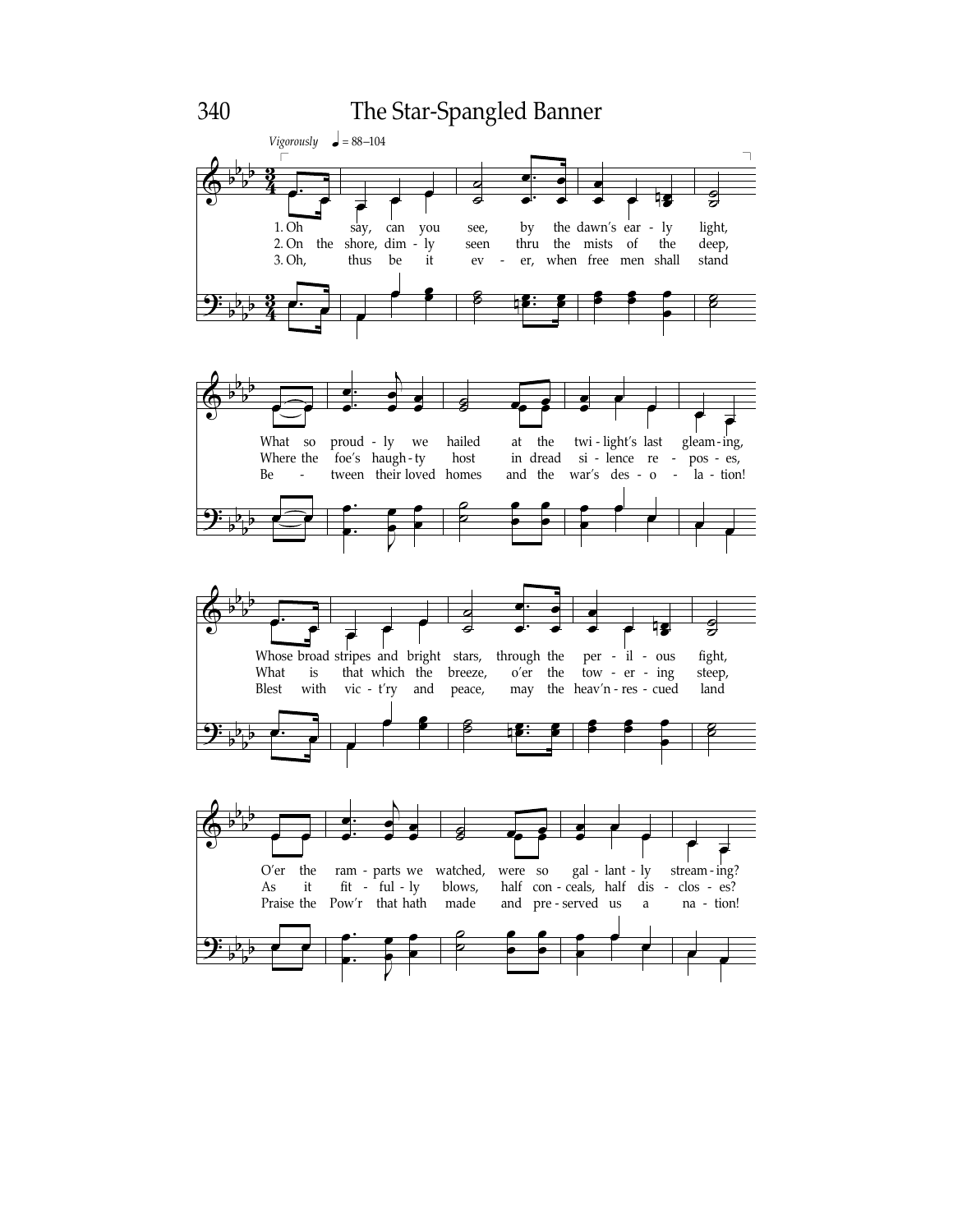